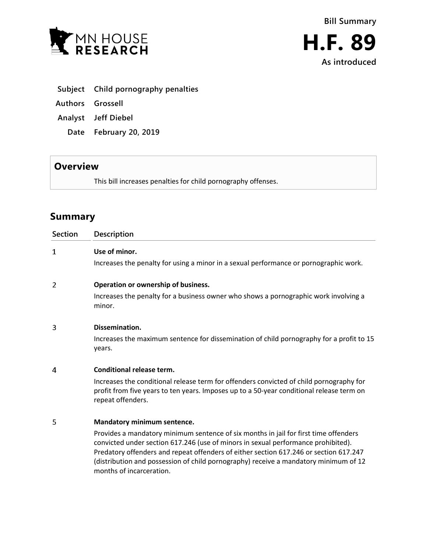



- **Subject Child pornography penalties**
- **Authors Grossell**
- **Analyst Jeff Diebel**
	- **Date February 20, 2019**

## **Overview**

This bill increases penalties for child pornography offenses.

# **Summary**

| <b>Section</b> | Description                                                                                                                                                                                                                                                                                                                                                                            |
|----------------|----------------------------------------------------------------------------------------------------------------------------------------------------------------------------------------------------------------------------------------------------------------------------------------------------------------------------------------------------------------------------------------|
| 1              | Use of minor.                                                                                                                                                                                                                                                                                                                                                                          |
|                | Increases the penalty for using a minor in a sexual performance or pornographic work.                                                                                                                                                                                                                                                                                                  |
| 2              | Operation or ownership of business.                                                                                                                                                                                                                                                                                                                                                    |
|                | Increases the penalty for a business owner who shows a pornographic work involving a<br>minor.                                                                                                                                                                                                                                                                                         |
| 3              | Dissemination.                                                                                                                                                                                                                                                                                                                                                                         |
|                | Increases the maximum sentence for dissemination of child pornography for a profit to 15<br>years.                                                                                                                                                                                                                                                                                     |
| 4              | Conditional release term.                                                                                                                                                                                                                                                                                                                                                              |
|                | Increases the conditional release term for offenders convicted of child pornography for<br>profit from five years to ten years. Imposes up to a 50-year conditional release term on<br>repeat offenders.                                                                                                                                                                               |
| 5              | Mandatory minimum sentence.                                                                                                                                                                                                                                                                                                                                                            |
|                | Provides a mandatory minimum sentence of six months in jail for first time offenders<br>convicted under section 617.246 (use of minors in sexual performance prohibited).<br>Predatory offenders and repeat offenders of either section 617.246 or section 617.247<br>(distribution and possession of child pornography) receive a mandatory minimum of 12<br>months of incarceration. |